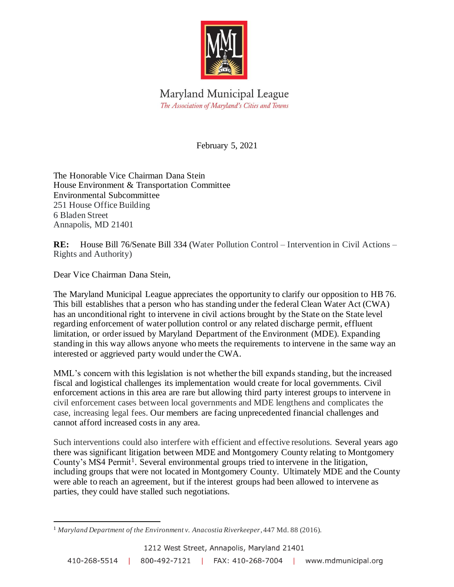

Maryland Municipal League The Association of Maryland's Cities and Towns

February 5, 2021

The Honorable Vice Chairman Dana Stein House Environment & Transportation Committee Environmental Subcommittee 251 House Office Building 6 Bladen Street Annapolis, MD 21401

**RE:** House Bill 76/Senate Bill 334 (Water Pollution Control – Intervention in Civil Actions – Rights and Authority)

Dear Vice Chairman Dana Stein,

The Maryland Municipal League appreciates the opportunity to clarify our opposition to HB 76. This bill establishes that a person who has standing under the federal Clean Water Act (CWA) has an unconditional right to intervene in civil actions brought by the State on the State level regarding enforcement of water pollution control or any related discharge permit, effluent limitation, or order issued by Maryland Department of the Environment (MDE). Expanding standing in this way allows anyone who meets the requirements to intervene in the same way an interested or aggrieved party would under the CWA.

MML's concern with this legislation is not whether the bill expands standing, but the increased fiscal and logistical challenges its implementation would create for local governments. Civil enforcement actions in this area are rare but allowing third party interest groups to intervene in civil enforcement cases between local governments and MDE lengthens and complicates the case, increasing legal fees. Our members are facing unprecedented financial challenges and cannot afford increased costs in any area.

Such interventions could also interfere with efficient and effective resolutions. Several years ago there was significant litigation between MDE and Montgomery County relating to Montgomery County's MS4 Permit<sup>1</sup>. Several environmental groups tried to intervene in the litigation, including groups that were not located in Montgomery County. Ultimately MDE and the County were able to reach an agreement, but if the interest groups had been allowed to intervene as parties, they could have stalled such negotiations.

<sup>1</sup> *Maryland Department of the Environment v. Anacostia Riverkeeper*, 447 Md. 88 (2016).